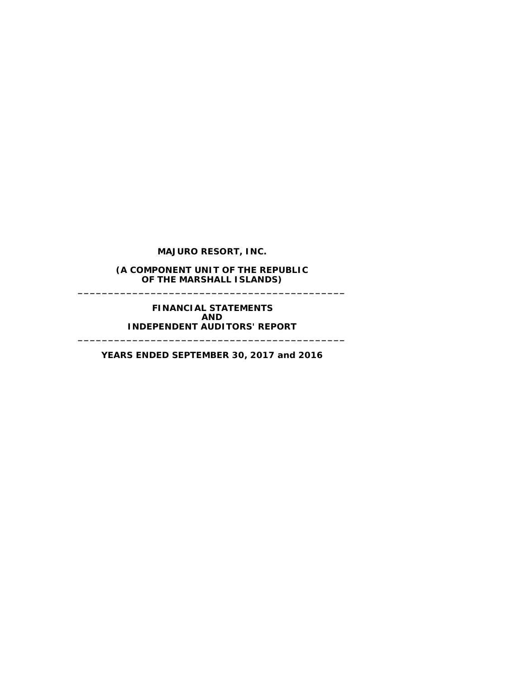**(A COMPONENT UNIT OF THE REPUBLIC OF THE MARSHALL ISLANDS) \_\_\_\_\_\_\_\_\_\_\_\_\_\_\_\_\_\_\_\_\_\_\_\_\_\_\_\_\_\_\_\_\_\_\_\_\_\_\_\_\_\_\_\_**

> **FINANCIAL STATEMENTS AND INDEPENDENT AUDITORS' REPORT**

**YEARS ENDED SEPTEMBER 30, 2017 and 2016**

**\_\_\_\_\_\_\_\_\_\_\_\_\_\_\_\_\_\_\_\_\_\_\_\_\_\_\_\_\_\_\_\_\_\_\_\_\_\_\_\_\_\_\_\_**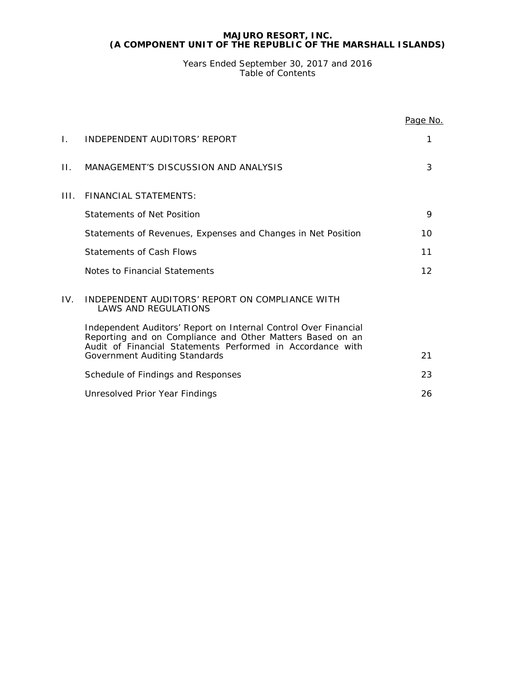Years Ended September 30, 2017 and 2016 Table of Contents

|     |                                                                                                                                                                                            | Page No.        |
|-----|--------------------------------------------------------------------------------------------------------------------------------------------------------------------------------------------|-----------------|
| Ι.  | INDEPENDENT AUDITORS' REPORT                                                                                                                                                               | 1               |
| П.  | MANAGEMENT'S DISCUSSION AND ANALYSIS                                                                                                                                                       | 3               |
| HL. | FINANCIAL STATEMENTS:                                                                                                                                                                      |                 |
|     | Statements of Net Position                                                                                                                                                                 | 9               |
|     | Statements of Revenues, Expenses and Changes in Net Position                                                                                                                               | 10              |
|     | Statements of Cash Flows                                                                                                                                                                   | 11              |
|     | Notes to Financial Statements                                                                                                                                                              | 12 <sup>2</sup> |
| IV. | INDEPENDENT AUDITORS' REPORT ON COMPLIANCE WITH<br><b>LAWS AND REGULATIONS</b>                                                                                                             |                 |
|     | Independent Auditors' Report on Internal Control Over Financial<br>Reporting and on Compliance and Other Matters Based on an<br>Audit of Financial Statements Performed in Accordance with |                 |
|     | Government Auditing Standards                                                                                                                                                              | 21              |
|     | Schedule of Findings and Responses                                                                                                                                                         | 23              |
|     | Unresolved Prior Year Findings                                                                                                                                                             | 26              |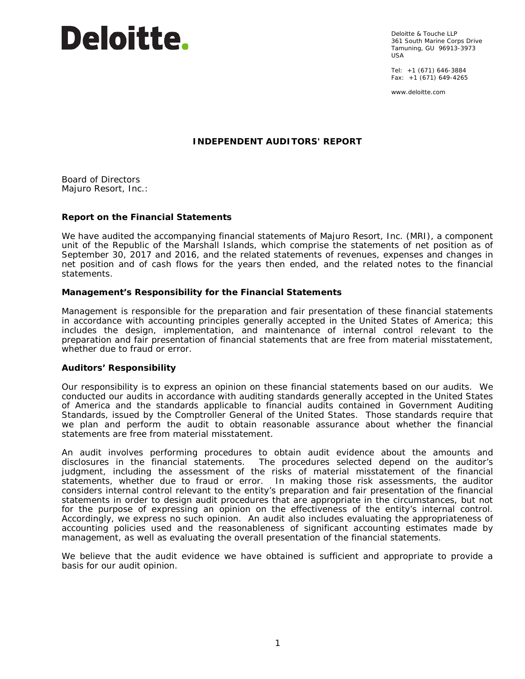

Deloitte & Touche LLP 361 South Marine Corps Drive Tamuning, GU 96913-3973  $IISA$ 

Tel: +1 (671) 646-3884 Fax:  $+1$  (671) 649-4265

www.deloitte.com

# **INDEPENDENT AUDITORS' REPORT**

Board of Directors Majuro Resort, Inc.:

# **Report on the Financial Statements**

We have audited the accompanying financial statements of Majuro Resort, Inc. (MRI), a component unit of the Republic of the Marshall Islands, which comprise the statements of net position as of September 30, 2017 and 2016, and the related statements of revenues, expenses and changes in net position and of cash flows for the years then ended, and the related notes to the financial statements.

# *Management's Responsibility for the Financial Statements*

Management is responsible for the preparation and fair presentation of these financial statements in accordance with accounting principles generally accepted in the United States of America; this includes the design, implementation, and maintenance of internal control relevant to the preparation and fair presentation of financial statements that are free from material misstatement, whether due to fraud or error.

# *Auditors' Responsibility*

Our responsibility is to express an opinion on these financial statements based on our audits. We conducted our audits in accordance with auditing standards generally accepted in the United States of America and the standards applicable to financial audits contained in *Government Auditing Standards*, issued by the Comptroller General of the United States. Those standards require that we plan and perform the audit to obtain reasonable assurance about whether the financial statements are free from material misstatement.

An audit involves performing procedures to obtain audit evidence about the amounts and disclosures in the financial statements. The procedures selected depend on the auditor's judgment, including the assessment of the risks of material misstatement of the financial statements, whether due to fraud or error. In making those risk assessments, the auditor considers internal control relevant to the entity's preparation and fair presentation of the financial statements in order to design audit procedures that are appropriate in the circumstances, but not for the purpose of expressing an opinion on the effectiveness of the entity's internal control. Accordingly, we express no such opinion. An audit also includes evaluating the appropriateness of accounting policies used and the reasonableness of significant accounting estimates made by management, as well as evaluating the overall presentation of the financial statements.

We believe that the audit evidence we have obtained is sufficient and appropriate to provide a basis for our audit opinion.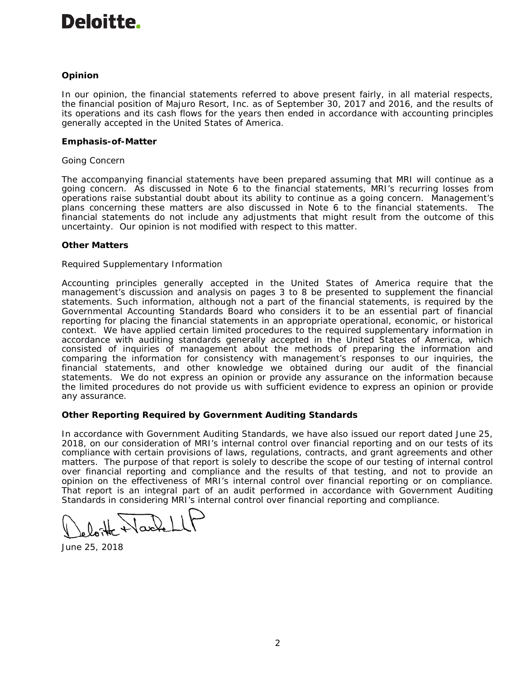# Deloitte.

# *Opinion*

In our opinion, the financial statements referred to above present fairly, in all material respects, the financial position of Majuro Resort, Inc. as of September 30, 2017 and 2016, and the results of its operations and its cash flows for the years then ended in accordance with accounting principles generally accepted in the United States of America.

# *Emphasis-of-Matter*

# *Going Concern*

The accompanying financial statements have been prepared assuming that MRI will continue as a going concern. As discussed in Note 6 to the financial statements, MRI's recurring losses from operations raise substantial doubt about its ability to continue as a going concern. Management's plans concerning these matters are also discussed in Note 6 to the financial statements. The financial statements do not include any adjustments that might result from the outcome of this uncertainty. Our opinion is not modified with respect to this matter.

# *Other Matters*

# *Required Supplementary Information*

Accounting principles generally accepted in the United States of America require that the management's discussion and analysis on pages 3 to 8 be presented to supplement the financial statements. Such information, although not a part of the financial statements, is required by the Governmental Accounting Standards Board who considers it to be an essential part of financial reporting for placing the financial statements in an appropriate operational, economic, or historical context. We have applied certain limited procedures to the required supplementary information in accordance with auditing standards generally accepted in the United States of America, which consisted of inquiries of management about the methods of preparing the information and comparing the information for consistency with management's responses to our inquiries, the financial statements, and other knowledge we obtained during our audit of the financial statements. We do not express an opinion or provide any assurance on the information because the limited procedures do not provide us with sufficient evidence to express an opinion or provide any assurance.

# **Other Reporting Required by** *Government Auditing Standards*

In accordance with *Government Auditing Standards*, we have also issued our report dated June 25, 2018, on our consideration of MRI's internal control over financial reporting and on our tests of its compliance with certain provisions of laws, regulations, contracts, and grant agreements and other matters. The purpose of that report is solely to describe the scope of our testing of internal control over financial reporting and compliance and the results of that testing, and not to provide an opinion on the effectiveness of MRI's internal control over financial reporting or on compliance. That report is an integral part of an audit performed in accordance with *Government Auditing Standards* in considering MRI's internal control over financial reporting and compliance.

June 25, 2018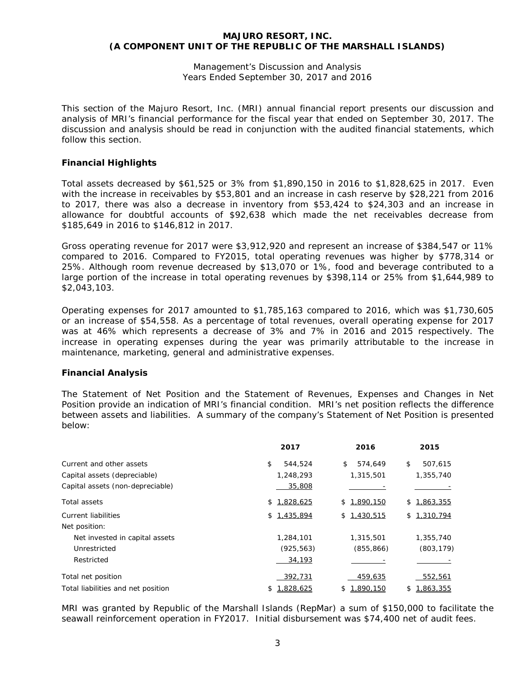Management's Discussion and Analysis Years Ended September 30, 2017 and 2016

This section of the Majuro Resort, Inc. (MRI) annual financial report presents our discussion and analysis of MRI's financial performance for the fiscal year that ended on September 30, 2017. The discussion and analysis should be read in conjunction with the audited financial statements, which follow this section.

# **Financial Highlights**

Total assets decreased by \$61,525 or 3% from \$1,890,150 in 2016 to \$1,828,625 in 2017. Even with the increase in receivables by \$53,801 and an increase in cash reserve by \$28,221 from 2016 to 2017, there was also a decrease in inventory from \$53,424 to \$24,303 and an increase in allowance for doubtful accounts of \$92,638 which made the net receivables decrease from \$185,649 in 2016 to \$146,812 in 2017.

Gross operating revenue for 2017 were \$3,912,920 and represent an increase of \$384,547 or 11% compared to 2016. Compared to FY2015, total operating revenues was higher by \$778,314 or 25%. Although room revenue decreased by \$13,070 or 1%, food and beverage contributed to a large portion of the increase in total operating revenues by \$398,114 or 25% from \$1,644,989 to \$2,043,103.

Operating expenses for 2017 amounted to \$1,785,163 compared to 2016, which was \$1,730,605 or an increase of \$54,558. As a percentage of total revenues, overall operating expense for 2017 was at 46% which represents a decrease of 3% and 7% in 2016 and 2015 respectively. The increase in operating expenses during the year was primarily attributable to the increase in maintenance, marketing, general and administrative expenses.

# **Financial Analysis**

The Statement of Net Position and the Statement of Revenues, Expenses and Changes in Net Position provide an indication of MRI's financial condition. MRI's net position reflects the difference between assets and liabilities. A summary of the company's Statement of Net Position is presented below:

|                                    | 2017            | 2016            | 2015            |
|------------------------------------|-----------------|-----------------|-----------------|
| Current and other assets           | \$<br>544.524   | \$<br>574.649   | \$<br>507,615   |
| Capital assets (depreciable)       | 1,248,293       | 1,315,501       | 1,355,740       |
| Capital assets (non-depreciable)   | 35,808          |                 |                 |
| Total assets                       | 1,828,625<br>\$ | \$1.890.150     | \$1,863,355     |
| <b>Current liabilities</b>         | 1,435,894<br>\$ | \$1,430,515     | \$1,310,794     |
| Net position:                      |                 |                 |                 |
| Net invested in capital assets     | 1,284,101       | 1,315,501       | 1,355,740       |
| Unrestricted                       | (925, 563)      | (855, 866)      | (803, 179)      |
| Restricted                         | 34,193          |                 |                 |
| Total net position                 | 392,731         | 459,635         | 552,561         |
| Total liabilities and net position | 1.828.625<br>\$ | 1,890,150<br>\$ | 1,863,355<br>S. |

MRI was granted by Republic of the Marshall Islands (RepMar) a sum of \$150,000 to facilitate the seawall reinforcement operation in FY2017. Initial disbursement was \$74,400 net of audit fees.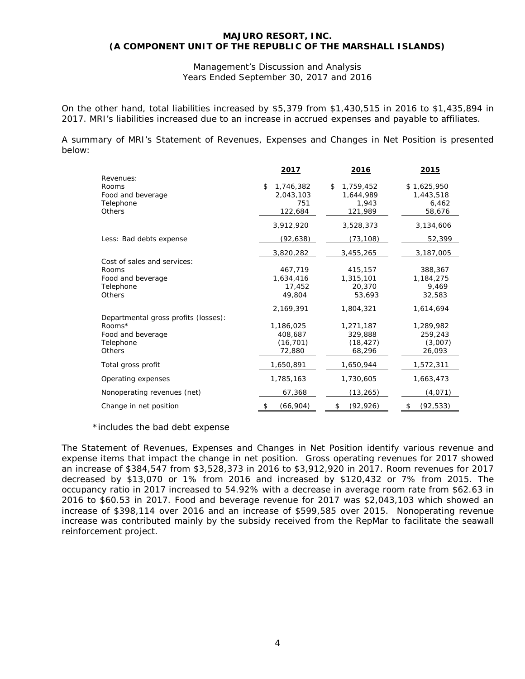Management's Discussion and Analysis Years Ended September 30, 2017 and 2016

On the other hand, total liabilities increased by \$5,379 from \$1,430,515 in 2016 to \$1,435,894 in 2017. MRI's liabilities increased due to an increase in accrued expenses and payable to affiliates.

A summary of MRI's Statement of Revenues, Expenses and Changes in Net Position is presented below:

|                                      | <u> 2017 </u>   | 2016            | <u> 2015 </u>   |
|--------------------------------------|-----------------|-----------------|-----------------|
| Revenues:                            |                 |                 |                 |
| Rooms                                | \$<br>1,746,382 | 1,759,452<br>\$ | \$1,625,950     |
| Food and beverage                    | 2,043,103       | 1,644,989       | 1,443,518       |
| Telephone                            | 751             | 1,943           | 6,462           |
| <b>Others</b>                        | 122,684         | 121,989         | 58,676          |
|                                      | 3,912,920       | 3,528,373       | 3,134,606       |
| Less: Bad debts expense              | (92,638)        | (73, 108)       | 52,399          |
|                                      | 3,820,282       | 3,455,265       | 3,187,005       |
| Cost of sales and services:          |                 |                 |                 |
| Rooms                                | 467,719         | 415,157         | 388,367         |
| Food and beverage                    | 1,634,416       | 1,315,101       | 1,184,275       |
| Telephone                            | 17,452          | 20,370          | 9,469           |
| <b>Others</b>                        | 49,804          | 53,693          | 32,583          |
|                                      | 2,169,391       | 1,804,321       | 1,614,694       |
| Departmental gross profits (losses): |                 |                 |                 |
| Rooms*                               | 1,186,025       | 1,271,187       | 1,289,982       |
| Food and beverage                    | 408,687         | 329,888         | 259,243         |
| Telephone                            | (16, 701)       | (18, 427)       | (3,007)         |
| <b>Others</b>                        | 72,880          | 68,296          | 26,093          |
| Total gross profit                   | 1,650,891       | 1,650,944       | 1,572,311       |
| Operating expenses                   | 1,785,163       | 1,730,605       | 1,663,473       |
| Nonoperating revenues (net)          | 67,368          | (13, 265)       | (4,071)         |
| Change in net position               | (66,904)<br>\$  | \$<br>(92, 926) | (92, 533)<br>\$ |

\*includes the bad debt expense

The Statement of Revenues, Expenses and Changes in Net Position identify various revenue and expense items that impact the change in net position. Gross operating revenues for 2017 showed an increase of \$384,547 from \$3,528,373 in 2016 to \$3,912,920 in 2017. Room revenues for 2017 decreased by \$13,070 or 1% from 2016 and increased by \$120,432 or 7% from 2015. The occupancy ratio in 2017 increased to 54.92% with a decrease in average room rate from \$62.63 in 2016 to \$60.53 in 2017. Food and beverage revenue for 2017 was \$2,043,103 which showed an increase of \$398,114 over 2016 and an increase of \$599,585 over 2015. Nonoperating revenue increase was contributed mainly by the subsidy received from the RepMar to facilitate the seawall reinforcement project.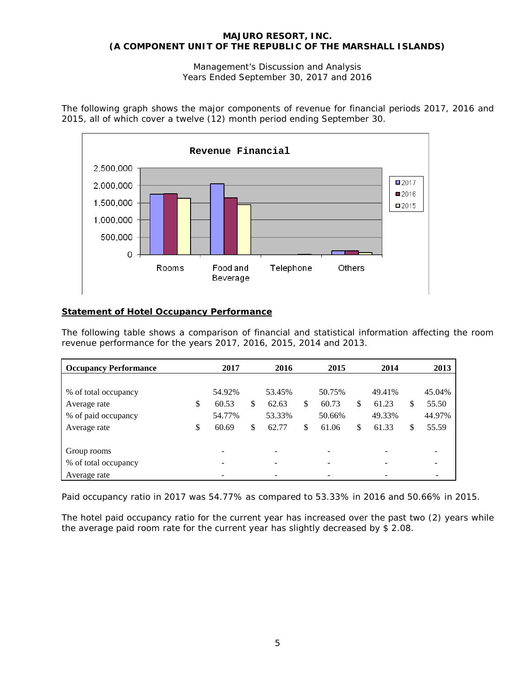Management's Discussion and Analysis Years Ended September 30, 2017 and 2016

The following graph shows the major components of revenue for financial periods 2017, 2016 and 2015, all of which cover a twelve (12) month period ending September 30.



# **Statement of Hotel Occupancy Performance**

The following table shows a comparison of financial and statistical information affecting the room revenue performance for the years 2017, 2016, 2015, 2014 and 2013.

| <b>Occupancy Performance</b> | 2017        | 2016        | 2015        | 2014        | 2013        |
|------------------------------|-------------|-------------|-------------|-------------|-------------|
|                              |             |             |             |             |             |
| % of total occupancy         | 54.92%      | 53.45%      | 50.75%      | 49.41%      | 45.04%      |
| Average rate                 | \$<br>60.53 | \$<br>62.63 | \$<br>60.73 | \$<br>61.23 | \$<br>55.50 |
| % of paid occupancy          | 54.77%      | 53.33%      | 50.66%      | 49.33%      | 44.97%      |
| Average rate                 | \$<br>60.69 | \$<br>62.77 | \$<br>61.06 | \$<br>61.33 | \$<br>55.59 |
|                              |             |             |             |             |             |
| Group rooms                  |             |             |             |             |             |
| % of total occupancy         |             |             |             |             |             |
| Average rate                 |             |             |             |             |             |

Paid occupancy ratio in 2017 was 54.77% as compared to 53.33% in 2016 and 50.66% in 2015.

The hotel paid occupancy ratio for the current year has increased over the past two (2) years while the average paid room rate for the current year has slightly decreased by \$ 2.08.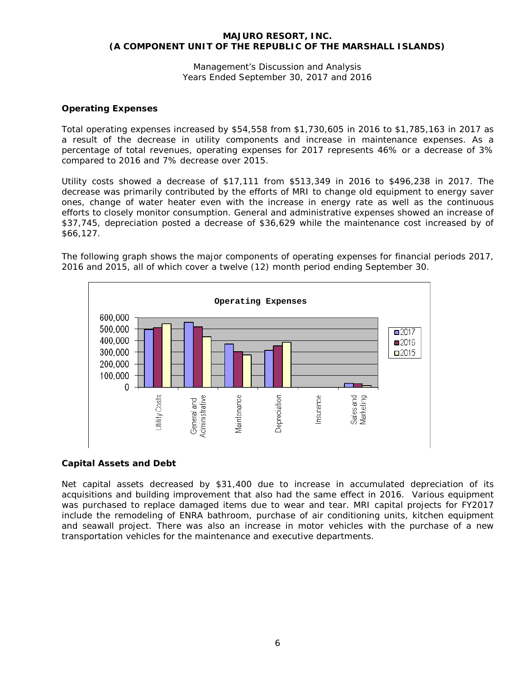Management's Discussion and Analysis Years Ended September 30, 2017 and 2016

# **Operating Expenses**

Total operating expenses increased by \$54,558 from \$1,730,605 in 2016 to \$1,785,163 in 2017 as a result of the decrease in utility components and increase in maintenance expenses. As a percentage of total revenues, operating expenses for 2017 represents 46% or a decrease of 3% compared to 2016 and 7% decrease over 2015.

Utility costs showed a decrease of \$17,111 from \$513,349 in 2016 to \$496,238 in 2017. The decrease was primarily contributed by the efforts of MRI to change old equipment to energy saver ones, change of water heater even with the increase in energy rate as well as the continuous efforts to closely monitor consumption. General and administrative expenses showed an increase of \$37,745, depreciation posted a decrease of \$36,629 while the maintenance cost increased by of \$66,127.

The following graph shows the major components of operating expenses for financial periods 2017, 2016 and 2015, all of which cover a twelve (12) month period ending September 30.



# **Capital Assets and Debt**

Net capital assets decreased by \$31,400 due to increase in accumulated depreciation of its acquisitions and building improvement that also had the same effect in 2016. Various equipment was purchased to replace damaged items due to wear and tear. MRI capital projects for FY2017 include the remodeling of ENRA bathroom, purchase of air conditioning units, kitchen equipment and seawall project. There was also an increase in motor vehicles with the purchase of a new transportation vehicles for the maintenance and executive departments.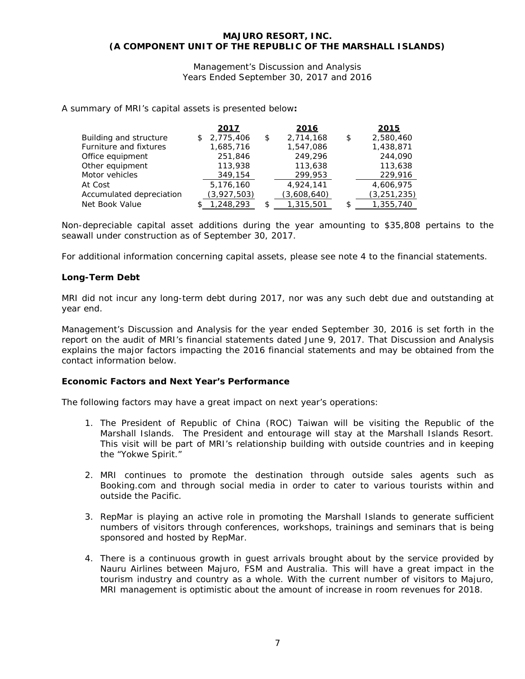Management's Discussion and Analysis Years Ended September 30, 2017 and 2016

A summary of MRI's capital assets is presented below**:**

|                          | 2017            | 2016            |    | 2015          |
|--------------------------|-----------------|-----------------|----|---------------|
| Building and structure   | \$<br>2,775,406 | \$<br>2,714,168 | \$ | 2,580,460     |
| Furniture and fixtures   | 1,685,716       | 1,547,086       |    | 1,438,871     |
| Office equipment         | 251,846         | 249.296         |    | 244,090       |
| Other equipment          | 113,938         | 113,638         |    | 113,638       |
| Motor vehicles           | 349,154         | 299,953         |    | 229,916       |
| At Cost                  | 5,176,160       | 4.924.141       |    | 4,606,975     |
| Accumulated depreciation | (3,927,503)     | (3,608,640)     |    | (3, 251, 235) |
| Net Book Value           | 1,248,293       | 1,315,501       | £. | 1,355,740     |

Non-depreciable capital asset additions during the year amounting to \$35,808 pertains to the seawall under construction as of September 30, 2017.

For additional information concerning capital assets, please see note 4 to the financial statements.

# **Long-Term Debt**

MRI did not incur any long-term debt during 2017, nor was any such debt due and outstanding at year end.

Management's Discussion and Analysis for the year ended September 30, 2016 is set forth in the report on the audit of MRI's financial statements dated June 9, 2017. That Discussion and Analysis explains the major factors impacting the 2016 financial statements and may be obtained from the contact information below.

# **Economic Factors and Next Year's Performance**

The following factors may have a great impact on next year's operations:

- 1. The President of Republic of China (ROC) Taiwan will be visiting the Republic of the Marshall Islands. The President and entourage will stay at the Marshall Islands Resort. This visit will be part of MRI's relationship building with outside countries and in keeping the "Yokwe Spirit."
- 2. MRI continues to promote the destination through outside sales agents such as Booking.com and through social media in order to cater to various tourists within and outside the Pacific.
- 3. RepMar is playing an active role in promoting the Marshall Islands to generate sufficient numbers of visitors through conferences, workshops, trainings and seminars that is being sponsored and hosted by RepMar.
- 4. There is a continuous growth in guest arrivals brought about by the service provided by Nauru Airlines between Majuro, FSM and Australia. This will have a great impact in the tourism industry and country as a whole. With the current number of visitors to Majuro, MRI management is optimistic about the amount of increase in room revenues for 2018.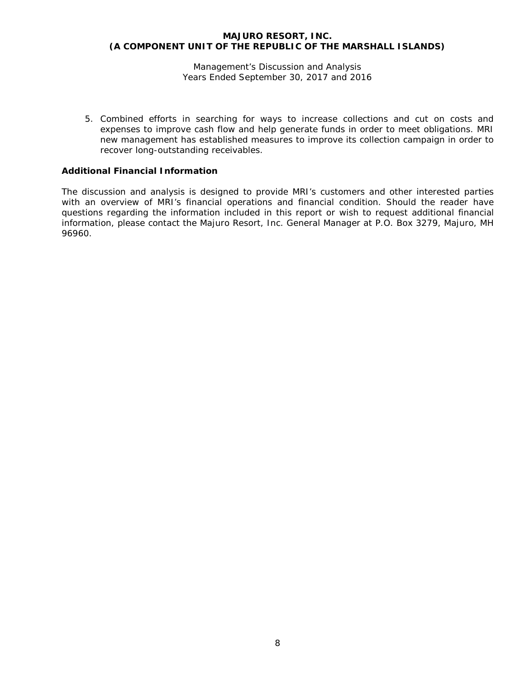Management's Discussion and Analysis Years Ended September 30, 2017 and 2016

5. Combined efforts in searching for ways to increase collections and cut on costs and expenses to improve cash flow and help generate funds in order to meet obligations. MRI new management has established measures to improve its collection campaign in order to recover long-outstanding receivables.

# **Additional Financial Information**

The discussion and analysis is designed to provide MRI's customers and other interested parties with an overview of MRI's financial operations and financial condition. Should the reader have questions regarding the information included in this report or wish to request additional financial information, please contact the Majuro Resort, Inc. General Manager at P.O. Box 3279, Majuro, MH 96960.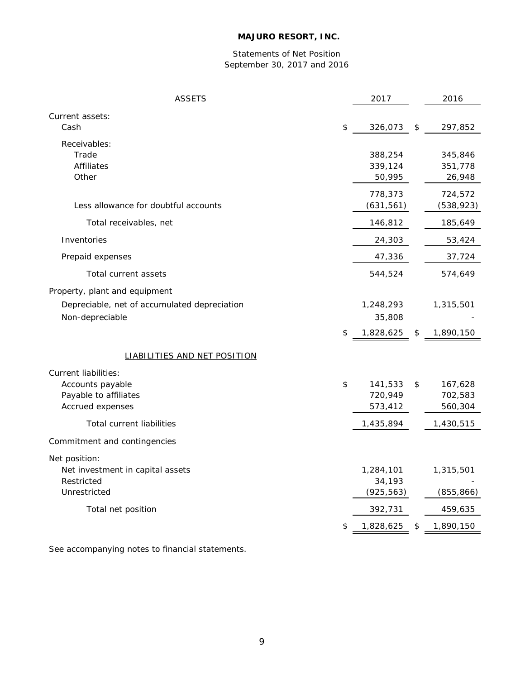# Statements of Net Position September 30, 2017 and 2016

| <b>ASSETS</b>                                                                                    | 2017                                   | 2016                                |
|--------------------------------------------------------------------------------------------------|----------------------------------------|-------------------------------------|
| Current assets:<br>Cash                                                                          | \$<br>326,073                          | \$<br>297,852                       |
| Receivables:<br>Trade<br><b>Affiliates</b><br>Other                                              | 388,254<br>339,124<br>50,995           | 345,846<br>351,778<br>26,948        |
| Less allowance for doubtful accounts                                                             | 778,373<br>(631, 561)                  | 724,572<br>(538, 923)               |
| Total receivables, net                                                                           | 146,812                                | 185,649                             |
| Inventories                                                                                      | 24,303                                 | 53,424                              |
| Prepaid expenses                                                                                 | 47,336                                 | 37,724                              |
| Total current assets                                                                             | 544,524                                | 574,649                             |
| Property, plant and equipment<br>Depreciable, net of accumulated depreciation<br>Non-depreciable | \$<br>1,248,293<br>35,808<br>1,828,625 | \$<br>1,315,501<br>1,890,150        |
| <b>LIABILITIES AND NET POSITION</b>                                                              |                                        |                                     |
| Current liabilities:<br>Accounts payable<br>Payable to affiliates<br>Accrued expenses            | \$<br>141,533<br>720,949<br>573,412    | \$<br>167,628<br>702,583<br>560,304 |
| <b>Total current liabilities</b>                                                                 | 1,435,894                              | 1,430,515                           |
| Commitment and contingencies                                                                     |                                        |                                     |
| Net position:<br>Net investment in capital assets<br>Restricted<br>Unrestricted                  | 1,284,101<br>34,193<br>(925, 563)      | 1,315,501<br>(855, 866)             |
| Total net position                                                                               | 392,731                                | 459,635                             |
|                                                                                                  | \$<br>1,828,625                        | \$<br>1,890,150                     |

See accompanying notes to financial statements.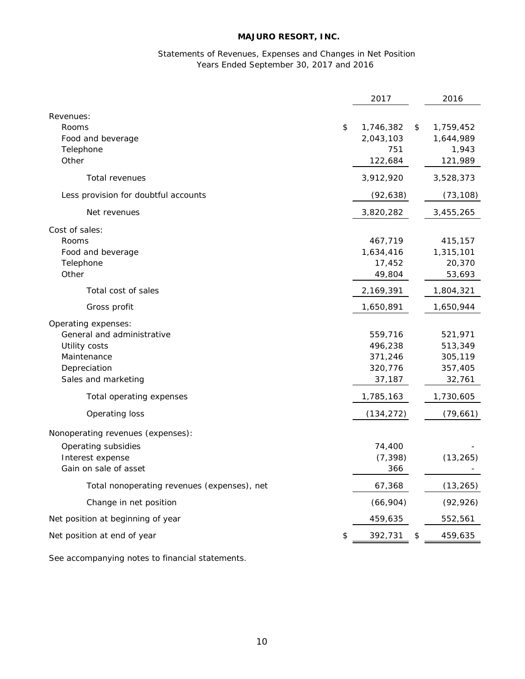# Statements of Revenues, Expenses and Changes in Net Position Years Ended September 30, 2017 and 2016

|                                             | 2017            | 2016            |
|---------------------------------------------|-----------------|-----------------|
| Revenues:                                   |                 |                 |
| Rooms                                       | \$<br>1,746,382 | \$<br>1,759,452 |
| Food and beverage                           | 2,043,103       | 1,644,989       |
| Telephone                                   | 751             | 1,943           |
| Other                                       | 122,684         | 121,989         |
| Total revenues                              | 3,912,920       | 3,528,373       |
| Less provision for doubtful accounts        | (92, 638)       | (73, 108)       |
| Net revenues                                | 3,820,282       | 3,455,265       |
| Cost of sales:                              |                 |                 |
| Rooms                                       | 467,719         | 415,157         |
| Food and beverage                           | 1,634,416       | 1,315,101       |
| Telephone                                   | 17,452          | 20,370          |
| Other                                       | 49,804          | 53,693          |
| Total cost of sales                         | 2,169,391       | 1,804,321       |
| Gross profit                                | 1,650,891       | 1,650,944       |
| Operating expenses:                         |                 |                 |
| General and administrative                  | 559,716         | 521,971         |
| Utility costs                               | 496,238         | 513,349         |
| Maintenance                                 | 371,246         | 305,119         |
| Depreciation                                | 320,776         | 357,405         |
| Sales and marketing                         | 37,187          | 32,761          |
| Total operating expenses                    | 1,785,163       | 1,730,605       |
| Operating loss                              | (134, 272)      | (79, 661)       |
| Nonoperating revenues (expenses):           |                 |                 |
| Operating subsidies                         | 74,400          |                 |
| Interest expense                            | (7, 398)        | (13, 265)       |
| Gain on sale of asset                       | 366             |                 |
| Total nonoperating revenues (expenses), net | 67,368          | (13, 265)       |
| Change in net position                      | (66,904)        | (92, 926)       |
| Net position at beginning of year           | 459,635         | 552,561         |
| Net position at end of year                 | \$<br>392,731   | \$<br>459,635   |
|                                             |                 |                 |

See accompanying notes to financial statements.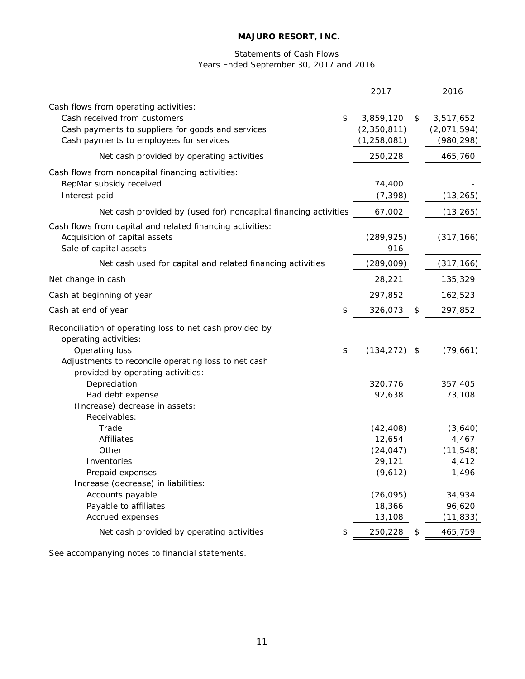# Statements of Cash Flows Years Ended September 30, 2017 and 2016

|                                                                                                                                                                             | 2017                                      | 2016                                         |
|-----------------------------------------------------------------------------------------------------------------------------------------------------------------------------|-------------------------------------------|----------------------------------------------|
| Cash flows from operating activities:<br>Cash received from customers<br>\$<br>Cash payments to suppliers for goods and services<br>Cash payments to employees for services | 3,859,120<br>(2,350,811)<br>(1, 258, 081) | \$<br>3,517,652<br>(2,071,594)<br>(980, 298) |
| Net cash provided by operating activities                                                                                                                                   | 250,228                                   | 465,760                                      |
| Cash flows from noncapital financing activities:<br>RepMar subsidy received<br>Interest paid                                                                                | 74,400<br>(7, 398)                        | (13, 265)                                    |
| Net cash provided by (used for) noncapital financing activities                                                                                                             | 67,002                                    | (13, 265)                                    |
| Cash flows from capital and related financing activities:<br>Acquisition of capital assets<br>Sale of capital assets                                                        | (289, 925)<br>916                         | (317, 166)                                   |
| Net cash used for capital and related financing activities                                                                                                                  | (289,009)                                 | (317, 166)                                   |
| Net change in cash                                                                                                                                                          | 28,221                                    | 135,329                                      |
| Cash at beginning of year                                                                                                                                                   | 297,852                                   | 162,523                                      |
| \$<br>Cash at end of year                                                                                                                                                   | 326,073                                   | \$<br>297,852                                |
| Reconciliation of operating loss to net cash provided by<br>operating activities:                                                                                           |                                           |                                              |
| Operating loss<br>\$<br>Adjustments to reconcile operating loss to net cash<br>provided by operating activities:                                                            | $(134, 272)$ \$                           | (79, 661)                                    |
| Depreciation                                                                                                                                                                | 320,776                                   | 357,405                                      |
| Bad debt expense<br>(Increase) decrease in assets:<br>Receivables:                                                                                                          | 92,638                                    | 73,108                                       |
| Trade                                                                                                                                                                       | (42, 408)                                 | (3,640)                                      |
| Affiliates                                                                                                                                                                  | 12,654                                    | 4,467                                        |
| Other                                                                                                                                                                       | (24, 047)                                 | (11, 548)                                    |
| Inventories                                                                                                                                                                 | 29,121                                    | 4,412                                        |
| Prepaid expenses<br>Increase (decrease) in liabilities:                                                                                                                     | (9,612)                                   | 1,496                                        |
| Accounts payable                                                                                                                                                            | (26, 095)                                 | 34,934                                       |
| Payable to affiliates                                                                                                                                                       | 18,366                                    | 96,620                                       |
| Accrued expenses                                                                                                                                                            | 13,108                                    | (11, 833)                                    |
| Net cash provided by operating activities<br>\$                                                                                                                             | 250,228                                   | \$<br>465,759                                |

See accompanying notes to financial statements.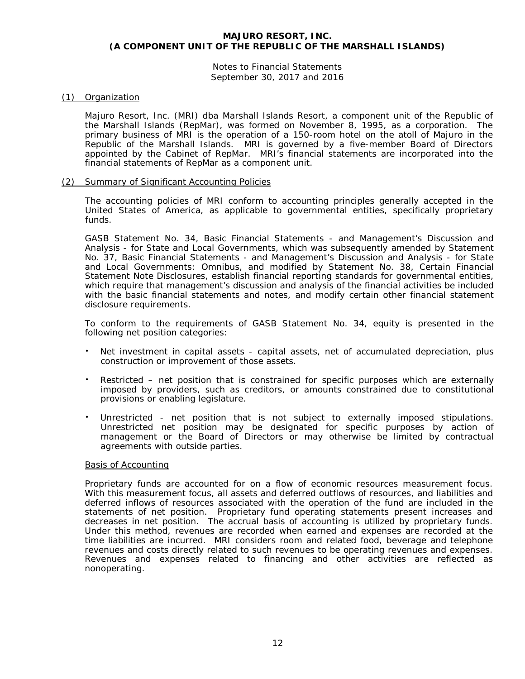Notes to Financial Statements September 30, 2017 and 2016

# (1) Organization

Majuro Resort, Inc. (MRI) dba Marshall Islands Resort, a component unit of the Republic of the Marshall Islands (RepMar), was formed on November 8, 1995, as a corporation. The primary business of MRI is the operation of a 150-room hotel on the atoll of Majuro in the Republic of the Marshall Islands. MRI is governed by a five-member Board of Directors appointed by the Cabinet of RepMar. MRI's financial statements are incorporated into the financial statements of RepMar as a component unit.

# (2) Summary of Significant Accounting Policies

The accounting policies of MRI conform to accounting principles generally accepted in the United States of America, as applicable to governmental entities, specifically proprietary funds.

GASB Statement No. 34, *Basic Financial Statements - and Management's Discussion and Analysis - for State and Local Governments*, which was subsequently amended by Statement No. 37, *Basic Financial Statements - and Management's Discussion and Analysis - for State and Local Governments: Omnibus*, and modified by Statement No. 38, *Certain Financial Statement Note Disclosures,* establish financial reporting standards for governmental entities, which require that management's discussion and analysis of the financial activities be included with the basic financial statements and notes, and modify certain other financial statement disclosure requirements.

To conform to the requirements of GASB Statement No. 34, equity is presented in the following net position categories:

- Net investment in capital assets capital assets, net of accumulated depreciation, plus construction or improvement of those assets.
- Restricted net position that is constrained for specific purposes which are externally imposed by providers, such as creditors, or amounts constrained due to constitutional provisions or enabling legislature.
- Unrestricted net position that is not subject to externally imposed stipulations. Unrestricted net position may be designated for specific purposes by action of management or the Board of Directors or may otherwise be limited by contractual agreements with outside parties.

# Basis of Accounting

Proprietary funds are accounted for on a flow of economic resources measurement focus. With this measurement focus, all assets and deferred outflows of resources, and liabilities and deferred inflows of resources associated with the operation of the fund are included in the statements of net position. Proprietary fund operating statements present increases and decreases in net position. The accrual basis of accounting is utilized by proprietary funds. Under this method, revenues are recorded when earned and expenses are recorded at the time liabilities are incurred. MRI considers room and related food, beverage and telephone revenues and costs directly related to such revenues to be operating revenues and expenses. Revenues and expenses related to financing and other activities are reflected as nonoperating.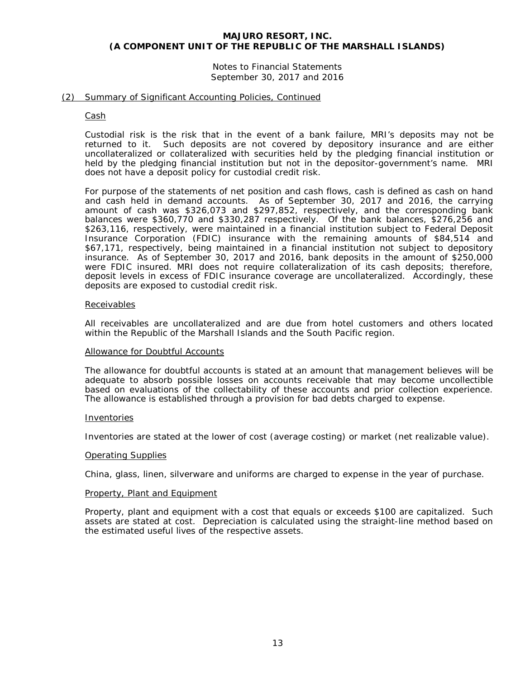# Notes to Financial Statements September 30, 2017 and 2016

# (2) Summary of Significant Accounting Policies, Continued

#### Cash

Custodial risk is the risk that in the event of a bank failure, MRI's deposits may not be returned to it. Such deposits are not covered by depository insurance and are either uncollateralized or collateralized with securities held by the pledging financial institution or held by the pledging financial institution but not in the depositor-government's name. MRI does not have a deposit policy for custodial credit risk.

For purpose of the statements of net position and cash flows, cash is defined as cash on hand and cash held in demand accounts. As of September 30, 2017 and 2016, the carrying amount of cash was \$326,073 and \$297,852, respectively, and the corresponding bank balances were \$360,770 and \$330,287 respectively. Of the bank balances, \$276,256 and \$263,116, respectively, were maintained in a financial institution subject to Federal Deposit Insurance Corporation (FDIC) insurance with the remaining amounts of \$84,514 and \$67,171, respectively, being maintained in a financial institution not subject to depository insurance. As of September 30, 2017 and 2016, bank deposits in the amount of \$250,000 were FDIC insured. MRI does not require collateralization of its cash deposits; therefore, deposit levels in excess of FDIC insurance coverage are uncollateralized. Accordingly, these deposits are exposed to custodial credit risk.

#### Receivables

All receivables are uncollateralized and are due from hotel customers and others located within the Republic of the Marshall Islands and the South Pacific region.

#### Allowance for Doubtful Accounts

The allowance for doubtful accounts is stated at an amount that management believes will be adequate to absorb possible losses on accounts receivable that may become uncollectible based on evaluations of the collectability of these accounts and prior collection experience. The allowance is established through a provision for bad debts charged to expense.

#### Inventories

Inventories are stated at the lower of cost (average costing) or market (net realizable value).

#### Operating Supplies

China, glass, linen, silverware and uniforms are charged to expense in the year of purchase.

#### Property, Plant and Equipment

Property, plant and equipment with a cost that equals or exceeds \$100 are capitalized. Such assets are stated at cost. Depreciation is calculated using the straight-line method based on the estimated useful lives of the respective assets.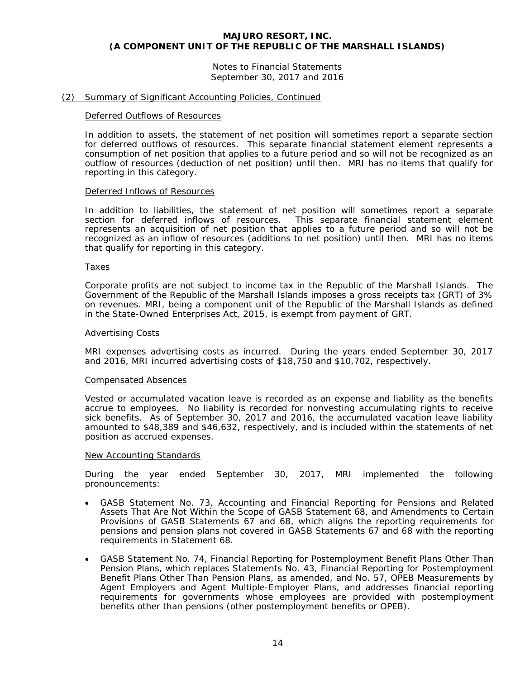Notes to Financial Statements September 30, 2017 and 2016

### (2) Summary of Significant Accounting Policies, Continued

#### Deferred Outflows of Resources

In addition to assets, the statement of net position will sometimes report a separate section for deferred outflows of resources. This separate financial statement element represents a consumption of net position that applies to a future period and so will not be recognized as an outflow of resources (deduction of net position) until then. MRI has no items that qualify for reporting in this category.

#### Deferred Inflows of Resources

In addition to liabilities, the statement of net position will sometimes report a separate section for deferred inflows of resources. This separate financial statement element represents an acquisition of net position that applies to a future period and so will not be recognized as an inflow of resources (additions to net position) until then. MRI has no items that qualify for reporting in this category.

#### Taxes

Corporate profits are not subject to income tax in the Republic of the Marshall Islands. The Government of the Republic of the Marshall Islands imposes a gross receipts tax (GRT) of 3% on revenues. MRI, being a component unit of the Republic of the Marshall Islands as defined in the State-Owned Enterprises Act, 2015, is exempt from payment of GRT.

#### Advertising Costs

MRI expenses advertising costs as incurred. During the years ended September 30, 2017 and 2016, MRI incurred advertising costs of \$18,750 and \$10,702, respectively.

#### Compensated Absences

Vested or accumulated vacation leave is recorded as an expense and liability as the benefits accrue to employees. No liability is recorded for nonvesting accumulating rights to receive sick benefits. As of September 30, 2017 and 2016, the accumulated vacation leave liability amounted to \$48,389 and \$46,632, respectively, and is included within the statements of net position as accrued expenses.

#### New Accounting Standards

During the year ended September 30, 2017, MRI implemented the following pronouncements:

- GASB Statement No. 73, *Accounting and Financial Reporting for Pensions and Related Assets That Are Not Within the Scope of GASB Statement 68, and Amendments to Certain Provisions of GASB Statements 67 and 68*, which aligns the reporting requirements for pensions and pension plans not covered in GASB Statements 67 and 68 with the reporting requirements in Statement 68.
- GASB Statement No. 74, *Financial Reporting for Postemployment Benefit Plans Other Than Pension Plans*, which replaces Statements No. 43, *Financial Reporting for Postemployment Benefit Plans Other Than Pension Plans, as amended,* and No. 57, *OPEB Measurements by Agent Employers and Agent Multiple-Employer Plans*, and addresses financial reporting requirements for governments whose employees are provided with postemployment benefits other than pensions (other postemployment benefits or OPEB).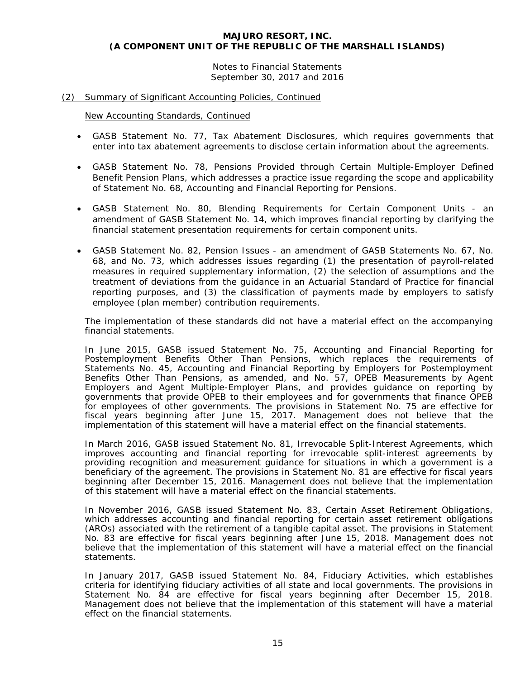Notes to Financial Statements September 30, 2017 and 2016

# (2) Summary of Significant Accounting Policies, Continued

New Accounting Standards, Continued

- GASB Statement No. 77, *Tax Abatement Disclosures*, which requires governments that enter into tax abatement agreements to disclose certain information about the agreements.
- GASB Statement No. 78, *Pensions Provided through Certain Multiple-Employer Defined Benefit Pension Plans*, which addresses a practice issue regarding the scope and applicability of Statement No. 68, *Accounting and Financial Reporting for Pensions*.
- GASB Statement No. 80, *Blending Requirements for Certain Component Units - an amendment of GASB Statement No. 14*, which improves financial reporting by clarifying the financial statement presentation requirements for certain component units.
- GASB Statement No. 82, *Pension Issues - an amendment of GASB Statements No. 67, No. 68, and No. 73*, which addresses issues regarding (1) the presentation of payroll-related measures in required supplementary information, (2) the selection of assumptions and the treatment of deviations from the guidance in an Actuarial Standard of Practice for financial reporting purposes, and (3) the classification of payments made by employers to satisfy employee (plan member) contribution requirements.

The implementation of these standards did not have a material effect on the accompanying financial statements.

In June 2015, GASB issued Statement No. 75, *Accounting and Financial Reporting for Postemployment Benefits Other Than Pensions*, which replaces the requirements of Statements No. 45, *Accounting and Financial Reporting by Employers for Postemployment Benefits Other Than Pensions*, as amended, and No. 57, *OPEB Measurements by Agent Employers and Agent Multiple-Employer Plans*, and provides guidance on reporting by governments that provide OPEB to their employees and for governments that finance OPEB for employees of other governments. The provisions in Statement No. 75 are effective for fiscal years beginning after June 15, 2017. Management does not believe that the implementation of this statement will have a material effect on the financial statements.

In March 2016, GASB issued Statement No. 81, *Irrevocable Split-Interest Agreements,* which improves accounting and financial reporting for irrevocable split-interest agreements by providing recognition and measurement guidance for situations in which a government is a beneficiary of the agreement. The provisions in Statement No. 81 are effective for fiscal years beginning after December 15, 2016. Management does not believe that the implementation of this statement will have a material effect on the financial statements.

In November 2016, GASB issued Statement No. 83, *Certain Asset Retirement Obligations*, which addresses accounting and financial reporting for certain asset retirement obligations (AROs) associated with the retirement of a tangible capital asset. The provisions in Statement No. 83 are effective for fiscal years beginning after June 15, 2018. Management does not believe that the implementation of this statement will have a material effect on the financial statements.

In January 2017, GASB issued Statement No. 84, *Fiduciary Activities*, which establishes criteria for identifying fiduciary activities of all state and local governments. The provisions in Statement No. 84 are effective for fiscal years beginning after December 15, 2018. Management does not believe that the implementation of this statement will have a material effect on the financial statements.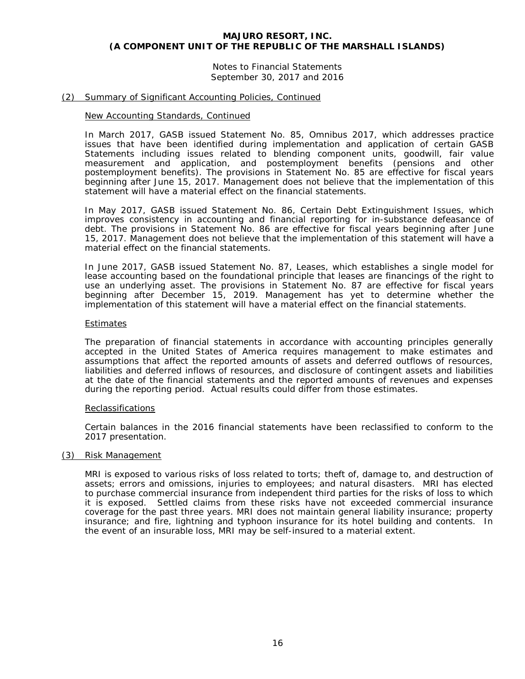Notes to Financial Statements September 30, 2017 and 2016

### (2) Summary of Significant Accounting Policies, Continued

#### New Accounting Standards, Continued

In March 2017, GASB issued Statement No. 85, *Omnibus 2017*, which addresses practice issues that have been identified during implementation and application of certain GASB Statements including issues related to blending component units, goodwill, fair value measurement and application, and postemployment benefits (pensions and other postemployment benefits). The provisions in Statement No. 85 are effective for fiscal years beginning after June 15, 2017. Management does not believe that the implementation of this statement will have a material effect on the financial statements.

In May 2017, GASB issued Statement No. 86, *Certain Debt Extinguishment Issues*, which improves consistency in accounting and financial reporting for in-substance defeasance of debt. The provisions in Statement No. 86 are effective for fiscal years beginning after June 15, 2017. Management does not believe that the implementation of this statement will have a material effect on the financial statements.

In June 2017, GASB issued Statement No. 87, *Leases*, which establishes a single model for lease accounting based on the foundational principle that leases are financings of the right to use an underlying asset. The provisions in Statement No. 87 are effective for fiscal years beginning after December 15, 2019. Management has yet to determine whether the implementation of this statement will have a material effect on the financial statements.

#### Estimates

The preparation of financial statements in accordance with accounting principles generally accepted in the United States of America requires management to make estimates and assumptions that affect the reported amounts of assets and deferred outflows of resources, liabilities and deferred inflows of resources, and disclosure of contingent assets and liabilities at the date of the financial statements and the reported amounts of revenues and expenses during the reporting period. Actual results could differ from those estimates.

# Reclassifications

Certain balances in the 2016 financial statements have been reclassified to conform to the 2017 presentation.

#### (3) Risk Management

MRI is exposed to various risks of loss related to torts; theft of, damage to, and destruction of assets; errors and omissions, injuries to employees; and natural disasters. MRI has elected to purchase commercial insurance from independent third parties for the risks of loss to which it is exposed. Settled claims from these risks have not exceeded commercial insurance coverage for the past three years. MRI does not maintain general liability insurance; property insurance; and fire, lightning and typhoon insurance for its hotel building and contents. In the event of an insurable loss, MRI may be self-insured to a material extent.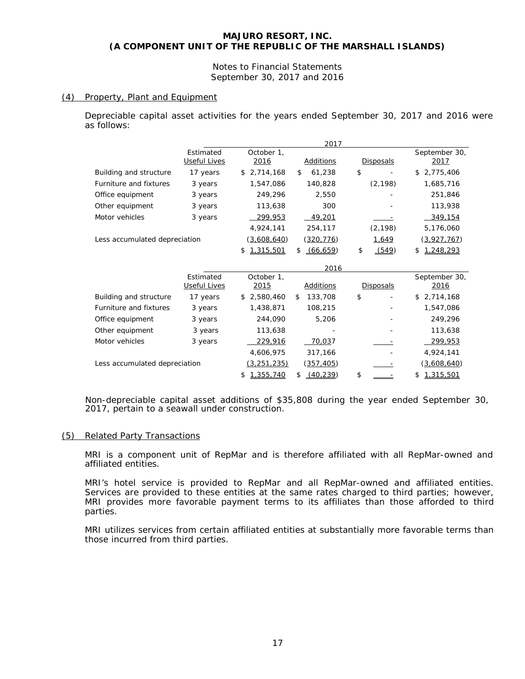Notes to Financial Statements September 30, 2017 and 2016

# (4) Property, Plant and Equipment

Depreciable capital asset activities for the years ended September 30, 2017 and 2016 were as follows:

|                               |                           |                    | 2017            |                  |                       |
|-------------------------------|---------------------------|--------------------|-----------------|------------------|-----------------------|
|                               | Estimated<br>Useful Lives | October 1,<br>2016 | Additions       | <b>Disposals</b> | September 30,<br>2017 |
| Building and structure        | 17 years                  | 2,714,168<br>\$    | 61,238<br>\$    | \$               | 2,775,406<br>\$       |
| Furniture and fixtures        | 3 years                   | 1,547,086          | 140,828         | (2, 198)         | 1,685,716             |
| Office equipment              | 3 years                   | 249,296            | 2,550           |                  | 251,846               |
| Other equipment               | 3 years                   | 113,638            | 300             |                  | 113,938               |
| Motor vehicles                | 3 years                   | 299.953            | 49,201          |                  | 349,154               |
|                               |                           | 4,924,141          | 254,117         | (2, 198)         | 5,176,060             |
| Less accumulated depreciation |                           | (3,608,640)        | (320,776)       | 1,649            | (3,927,767)           |
|                               |                           | 1,315,501<br>\$    | (66, 659)<br>\$ | \$<br>(549)      | 1,248,293<br>\$       |
|                               |                           |                    | 2016            |                  |                       |
|                               | Estimated                 | October 1,         |                 |                  | September 30,         |
|                               | <b>Useful Lives</b>       | 2015               | Additions       | <b>Disposals</b> | 2016                  |
| Building and structure        | 17 years                  | 2,580,460<br>\$    | 133,708<br>£.   | \$<br>-          | 2,714,168<br>\$       |
| Furniture and fixtures        | 3 years                   | 1,438,871          | 108,215         |                  | 1,547,086             |
| Office equipment              | 3 years                   | 244,090            | 5,206           |                  | 249,296               |
| Other equipment               | 3 years                   | 113,638            |                 |                  | 113,638               |
| Motor vehicles                | 3 years                   | 229,916            | 70,037          |                  | 299,953               |
|                               |                           | 4,606,975          | 317,166         |                  | 4,924,141             |
| Less accumulated depreciation |                           | <u>(3,251,235)</u> | (357,405)       |                  | (3,608,640)           |
|                               |                           | 1,355,740<br>\$    | (40, 239)<br>\$ | \$               | 1,315,501<br>\$       |

Non-depreciable capital asset additions of \$35,808 during the year ended September 30, 2017, pertain to a seawall under construction.

# (5) Related Party Transactions

MRI is a component unit of RepMar and is therefore affiliated with all RepMar-owned and affiliated entities.

MRI's hotel service is provided to RepMar and all RepMar-owned and affiliated entities. Services are provided to these entities at the same rates charged to third parties; however, MRI provides more favorable payment terms to its affiliates than those afforded to third parties.

MRI utilizes services from certain affiliated entities at substantially more favorable terms than those incurred from third parties.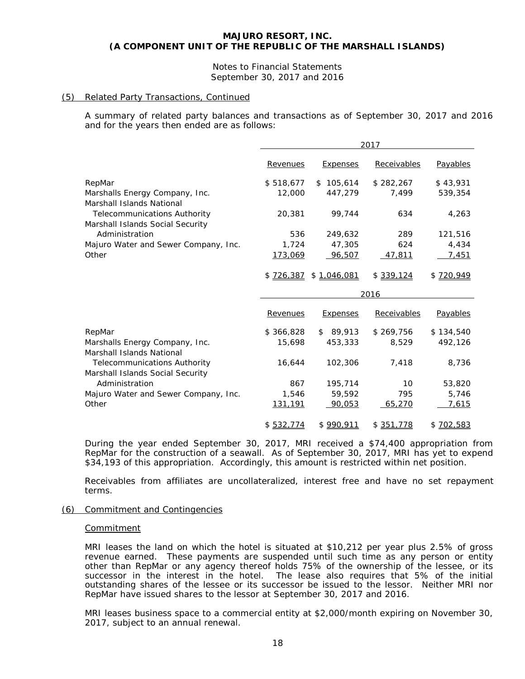# Notes to Financial Statements September 30, 2017 and 2016

# (5) Related Party Transactions, Continued

A summary of related party balances and transactions as of September 30, 2017 and 2016 and for the years then ended are as follows:

|                                                                         | 2017      |                       |             |           |  |  |
|-------------------------------------------------------------------------|-----------|-----------------------|-------------|-----------|--|--|
|                                                                         | Revenues  | <b>Expenses</b>       | Receivables | Payables  |  |  |
| RepMar                                                                  | \$518,677 | \$105,614             | \$282,267   | \$43,931  |  |  |
| Marshalls Energy Company, Inc.<br>Marshall Islands National             | 12,000    | 447,279               | 7,499       | 539,354   |  |  |
| <b>Telecommunications Authority</b><br>Marshall Islands Social Security | 20,381    | 99,744                | 634         | 4,263     |  |  |
| Administration                                                          | 536       | 249,632               | 289         | 121,516   |  |  |
| Majuro Water and Sewer Company, Inc.                                    | 1,724     | 47,305                | 624         | 4,434     |  |  |
| Other                                                                   | 173,069   | 96,507                | 47,811      | 7,451     |  |  |
|                                                                         |           | \$726,387 \$1,046,081 | \$339,124   | \$720,949 |  |  |
|                                                                         |           |                       | 2016        |           |  |  |
|                                                                         | Revenues  | <b>Expenses</b>       | Receivables | Payables  |  |  |
| RepMar                                                                  | \$366,828 | \$89,913              | \$269,756   | \$134,540 |  |  |
| Marshalls Energy Company, Inc.<br>Marshall Islands National             | 15,698    | 453,333               | 8,529       | 492,126   |  |  |
| <b>Telecommunications Authority</b><br>Marshall Islands Social Security | 16,644    | 102,306               | 7,418       | 8,736     |  |  |
| Administration                                                          | 867       | 195,714               | 10          | 53,820    |  |  |
| Majuro Water and Sewer Company, Inc.                                    | 1,546     | 59,592                | 795         | 5,746     |  |  |
| Other                                                                   | 131,191   | 90,053                | 65,270      | 7,615     |  |  |
|                                                                         | \$532.774 | \$990,911             | \$351,778   | \$702,583 |  |  |

During the year ended September 30, 2017, MRI received a \$74,400 appropriation from RepMar for the construction of a seawall. As of September 30, 2017, MRI has yet to expend \$34,193 of this appropriation. Accordingly, this amount is restricted within net position.

Receivables from affiliates are uncollateralized, interest free and have no set repayment terms.

# (6) Commitment and Contingencies

# Commitment

MRI leases the land on which the hotel is situated at \$10,212 per year plus 2.5% of gross revenue earned. These payments are suspended until such time as any person or entity other than RepMar or any agency thereof holds 75% of the ownership of the lessee, or its successor in the interest in the hotel. The lease also requires that 5% of the initial outstanding shares of the lessee or its successor be issued to the lessor. Neither MRI nor RepMar have issued shares to the lessor at September 30, 2017 and 2016.

MRI leases business space to a commercial entity at \$2,000/month expiring on November 30, 2017, subject to an annual renewal.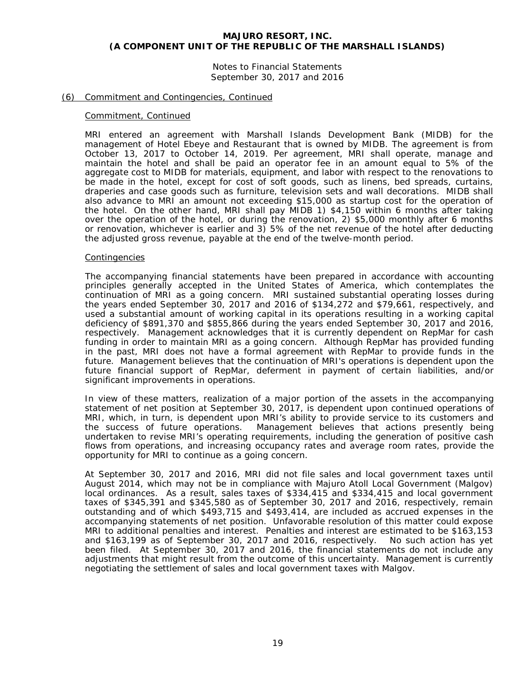Notes to Financial Statements September 30, 2017 and 2016

### (6) Commitment and Contingencies, Continued

#### Commitment, Continued

MRI entered an agreement with Marshall Islands Development Bank (MIDB) for the management of Hotel Ebeye and Restaurant that is owned by MIDB. The agreement is from October 13, 2017 to October 14, 2019. Per agreement, MRI shall operate, manage and maintain the hotel and shall be paid an operator fee in an amount equal to 5% of the aggregate cost to MIDB for materials, equipment, and labor with respect to the renovations to be made in the hotel, except for cost of soft goods, such as linens, bed spreads, curtains, draperies and case goods such as furniture, television sets and wall decorations. MIDB shall also advance to MRI an amount not exceeding \$15,000 as startup cost for the operation of the hotel. On the other hand, MRI shall pay MIDB 1) \$4,150 within 6 months after taking over the operation of the hotel, or during the renovation, 2) \$5,000 monthly after 6 months or renovation, whichever is earlier and  $3)$  5% of the net revenue of the hotel after deducting the adjusted gross revenue, payable at the end of the twelve-month period.

#### Contingencies

The accompanying financial statements have been prepared in accordance with accounting principles generally accepted in the United States of America, which contemplates the continuation of MRI as a going concern. MRI sustained substantial operating losses during the years ended September 30, 2017 and 2016 of \$134,272 and \$79,661, respectively, and used a substantial amount of working capital in its operations resulting in a working capital deficiency of \$891,370 and \$855,866 during the years ended September 30, 2017 and 2016, respectively. Management acknowledges that it is currently dependent on RepMar for cash funding in order to maintain MRI as a going concern. Although RepMar has provided funding in the past, MRI does not have a formal agreement with RepMar to provide funds in the future. Management believes that the continuation of MRI's operations is dependent upon the future financial support of RepMar, deferment in payment of certain liabilities, and/or significant improvements in operations.

In view of these matters, realization of a major portion of the assets in the accompanying statement of net position at September 30, 2017, is dependent upon continued operations of MRI, which, in turn, is dependent upon MRI's ability to provide service to its customers and the success of future operations. Management believes that actions presently being undertaken to revise MRI's operating requirements, including the generation of positive cash flows from operations, and increasing occupancy rates and average room rates, provide the opportunity for MRI to continue as a going concern.

At September 30, 2017 and 2016, MRI did not file sales and local government taxes until August 2014, which may not be in compliance with Majuro Atoll Local Government (Malgov) local ordinances. As a result, sales taxes of \$334,415 and \$334,415 and local government taxes of \$345,391 and \$345,580 as of September 30, 2017 and 2016, respectively, remain outstanding and of which \$493,715 and \$493,414, are included as accrued expenses in the accompanying statements of net position. Unfavorable resolution of this matter could expose MRI to additional penalties and interest. Penalties and interest are estimated to be \$163,153 and \$163,199 as of September 30, 2017 and 2016, respectively. No such action has yet been filed. At September 30, 2017 and 2016, the financial statements do not include any adjustments that might result from the outcome of this uncertainty. Management is currently negotiating the settlement of sales and local government taxes with Malgov.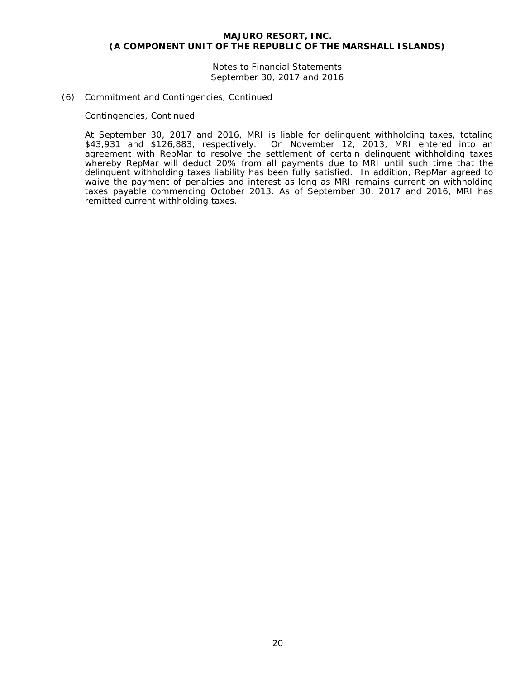Notes to Financial Statements September 30, 2017 and 2016

#### (6) Commitment and Contingencies, Continued

#### Contingencies, Continued

At September 30, 2017 and 2016, MRI is liable for delinquent withholding taxes, totaling \$43,931 and \$126,883, respectively. On November 12, 2013, MRI entered into an agreement with RepMar to resolve the settlement of certain delinquent withholding taxes whereby RepMar will deduct 20% from all payments due to MRI until such time that the delinquent withholding taxes liability has been fully satisfied. In addition, RepMar agreed to waive the payment of penalties and interest as long as MRI remains current on withholding taxes payable commencing October 2013. As of September 30, 2017 and 2016, MRI has remitted current withholding taxes.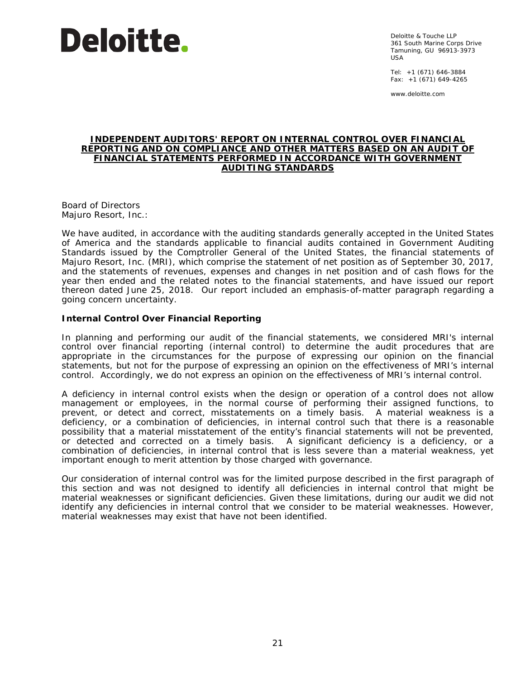

Deloitte & Touche LLP 361 South Marine Corps Drive Tamuning, GU 96913-3973 USA

Tel: +1 (671) 646-3884 Fax:  $+1$  (671) 649-4265

www.deloitte.com

#### **INDEPENDENT AUDITORS' REPORT ON INTERNAL CONTROL OVER FINANCIAL REPORTING AND ON COMPLIANCE AND OTHER MATTERS BASED ON AN AUDIT OF FINANCIAL STATEMENTS PERFORMED IN ACCORDANCE WITH** *GOVERNMENT AUDITING STANDARDS*

Board of Directors Majuro Resort, Inc.:

We have audited, in accordance with the auditing standards generally accepted in the United States of America and the standards applicable to financial audits contained in *Government Auditing Standards* issued by the Comptroller General of the United States, the financial statements of Majuro Resort, Inc. (MRI), which comprise the statement of net position as of September 30, 2017, and the statements of revenues, expenses and changes in net position and of cash flows for the year then ended and the related notes to the financial statements, and have issued our report thereon dated June 25, 2018. Our report included an emphasis-of-matter paragraph regarding a going concern uncertainty.

# **Internal Control Over Financial Reporting**

In planning and performing our audit of the financial statements, we considered MRI's internal control over financial reporting (internal control) to determine the audit procedures that are appropriate in the circumstances for the purpose of expressing our opinion on the financial statements, but not for the purpose of expressing an opinion on the effectiveness of MRI's internal control. Accordingly, we do not express an opinion on the effectiveness of MRI's internal control.

A *deficiency in internal control* exists when the design or operation of a control does not allow management or employees, in the normal course of performing their assigned functions, to prevent, or detect and correct, misstatements on a timely basis. A *material weakness* is a deficiency, or a combination of deficiencies, in internal control such that there is a reasonable possibility that a material misstatement of the entity's financial statements will not be prevented, or detected and corrected on a timely basis. A *significant deficiency* is a deficiency, or a combination of deficiencies, in internal control that is less severe than a material weakness, yet important enough to merit attention by those charged with governance.

Our consideration of internal control was for the limited purpose described in the first paragraph of this section and was not designed to identify all deficiencies in internal control that might be material weaknesses or significant deficiencies. Given these limitations, during our audit we did not identify any deficiencies in internal control that we consider to be material weaknesses. However, material weaknesses may exist that have not been identified.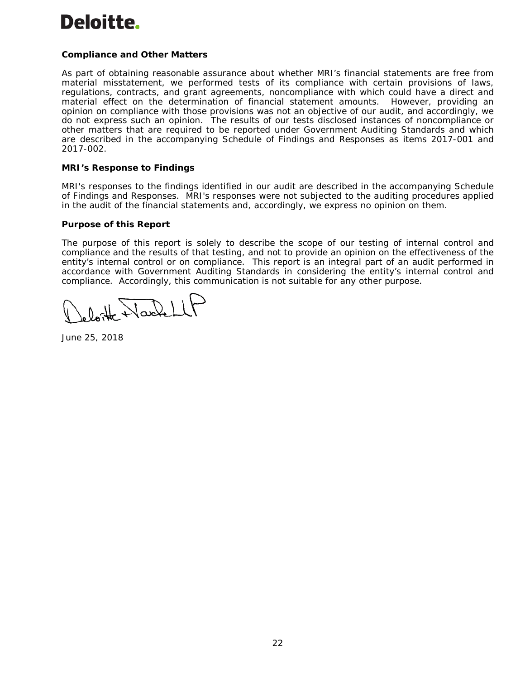# Deloitte.

# **Compliance and Other Matters**

As part of obtaining reasonable assurance about whether MRI's financial statements are free from material misstatement, we performed tests of its compliance with certain provisions of laws, regulations, contracts, and grant agreements, noncompliance with which could have a direct and material effect on the determination of financial statement amounts. However, providing an opinion on compliance with those provisions was not an objective of our audit, and accordingly, we do not express such an opinion. The results of our tests disclosed instances of noncompliance or other matters that are required to be reported under *Government Auditing Standards* and which are described in the accompanying Schedule of Findings and Responses as items 2017-001 and 2017-002.

# **MRI's Response to Findings**

MRI's responses to the findings identified in our audit are described in the accompanying Schedule of Findings and Responses. MRI's responses were not subjected to the auditing procedures applied in the audit of the financial statements and, accordingly, we express no opinion on them.

# **Purpose of this Report**

The purpose of this report is solely to describe the scope of our testing of internal control and compliance and the results of that testing, and not to provide an opinion on the effectiveness of the entity's internal control or on compliance. This report is an integral part of an audit performed in accordance with *Government Auditing Standards* in considering the entity's internal control and compliance. Accordingly, this communication is not suitable for any other purpose.

Wach

June 25, 2018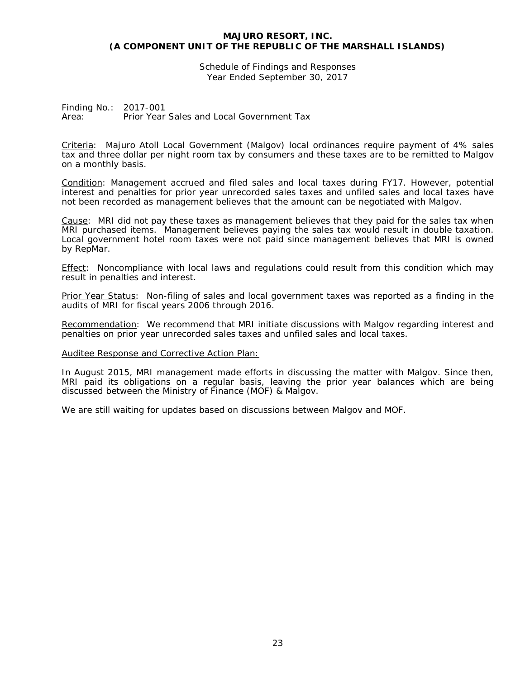Schedule of Findings and Responses Year Ended September 30, 2017

Finding No.: 2017-001 Area: Prior Year Sales and Local Government Tax

Criteria: Majuro Atoll Local Government (Malgov) local ordinances require payment of 4% sales tax and three dollar per night room tax by consumers and these taxes are to be remitted to Malgov on a monthly basis.

Condition: Management accrued and filed sales and local taxes during FY17. However, potential interest and penalties for prior year unrecorded sales taxes and unfiled sales and local taxes have not been recorded as management believes that the amount can be negotiated with Malgov.

Cause: MRI did not pay these taxes as management believes that they paid for the sales tax when MRI purchased items. Management believes paying the sales tax would result in double taxation. Local government hotel room taxes were not paid since management believes that MRI is owned by RepMar.

Effect: Noncompliance with local laws and regulations could result from this condition which may result in penalties and interest.

Prior Year Status: Non-filing of sales and local government taxes was reported as a finding in the audits of MRI for fiscal years 2006 through 2016.

Recommendation: We recommend that MRI initiate discussions with Malgov regarding interest and penalties on prior year unrecorded sales taxes and unfiled sales and local taxes.

#### Auditee Response and Corrective Action Plan:

In August 2015, MRI management made efforts in discussing the matter with Malgov. Since then, MRI paid its obligations on a regular basis, leaving the prior year balances which are being discussed between the Ministry of Finance (MOF) & Malgov.

We are still waiting for updates based on discussions between Malgov and MOF.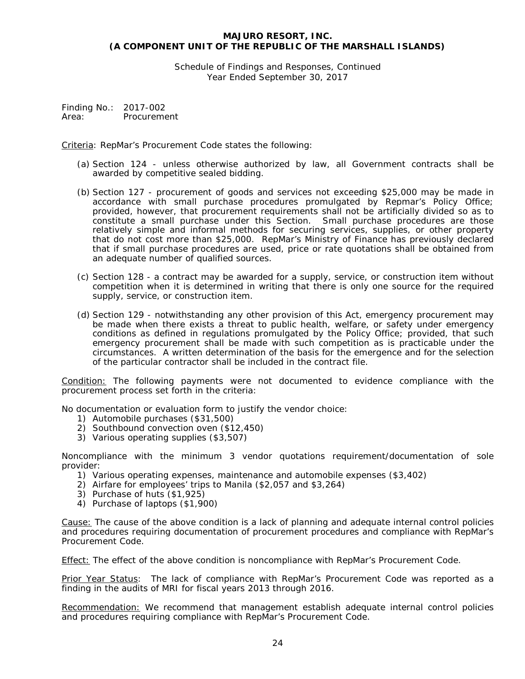Schedule of Findings and Responses, Continued Year Ended September 30, 2017

Finding No.: 2017-002 Area: Procurement

Criteria: RepMar's Procurement Code states the following:

- (a) Section 124 unless otherwise authorized by law, all Government contracts shall be awarded by competitive sealed bidding.
- (b) Section 127 procurement of goods and services not exceeding \$25,000 may be made in accordance with small purchase procedures promulgated by Repmar's Policy Office; provided, however, that procurement requirements shall not be artificially divided so as to constitute a small purchase under this Section. Small purchase procedures are those relatively simple and informal methods for securing services, supplies, or other property that do not cost more than \$25,000. RepMar's Ministry of Finance has previously declared that if small purchase procedures are used, price or rate quotations shall be obtained from an adequate number of qualified sources.
- (c) Section 128 a contract may be awarded for a supply, service, or construction item without competition when it is determined in writing that there is only one source for the required supply, service, or construction item.
- (d) Section 129 notwithstanding any other provision of this Act, emergency procurement may be made when there exists a threat to public health, welfare, or safety under emergency conditions as defined in regulations promulgated by the Policy Office; provided, that such emergency procurement shall be made with such competition as is practicable under the circumstances. A written determination of the basis for the emergence and for the selection of the particular contractor shall be included in the contract file.

Condition: The following payments were not documented to evidence compliance with the procurement process set forth in the criteria:

No documentation or evaluation form to justify the vendor choice:

- 1) Automobile purchases (\$31,500)
- 2) Southbound convection oven (\$12,450)
- 3) Various operating supplies (\$3,507)

Noncompliance with the minimum 3 vendor quotations requirement/documentation of sole provider:

- 1) Various operating expenses, maintenance and automobile expenses (\$3,402)
- 2) Airfare for employees' trips to Manila (\$2,057 and \$3,264)
- 3) Purchase of huts (\$1,925)
- 4) Purchase of laptops (\$1,900)

Cause: The cause of the above condition is a lack of planning and adequate internal control policies and procedures requiring documentation of procurement procedures and compliance with RepMar's Procurement Code.

Effect: The effect of the above condition is noncompliance with RepMar's Procurement Code.

Prior Year Status: The lack of compliance with RepMar's Procurement Code was reported as a finding in the audits of MRI for fiscal years 2013 through 2016.

Recommendation: We recommend that management establish adequate internal control policies and procedures requiring compliance with RepMar's Procurement Code.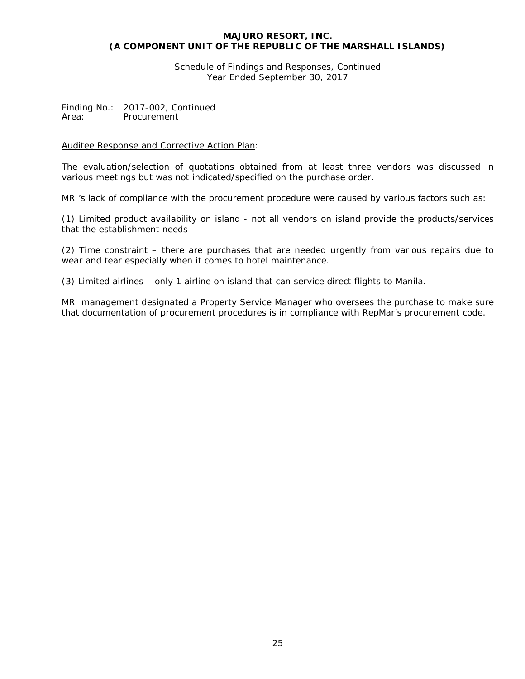Schedule of Findings and Responses, Continued Year Ended September 30, 2017

Finding No.: 2017-002, Continued<br>Area: Procurement **Procurement** 

# Auditee Response and Corrective Action Plan:

The evaluation/selection of quotations obtained from at least three vendors was discussed in various meetings but was not indicated/specified on the purchase order.

MRI's lack of compliance with the procurement procedure were caused by various factors such as:

(1) Limited product availability on island - not all vendors on island provide the products/services that the establishment needs

(2) Time constraint – there are purchases that are needed urgently from various repairs due to wear and tear especially when it comes to hotel maintenance.

(3) Limited airlines – only 1 airline on island that can service direct flights to Manila.

MRI management designated a Property Service Manager who oversees the purchase to make sure that documentation of procurement procedures is in compliance with RepMar's procurement code.